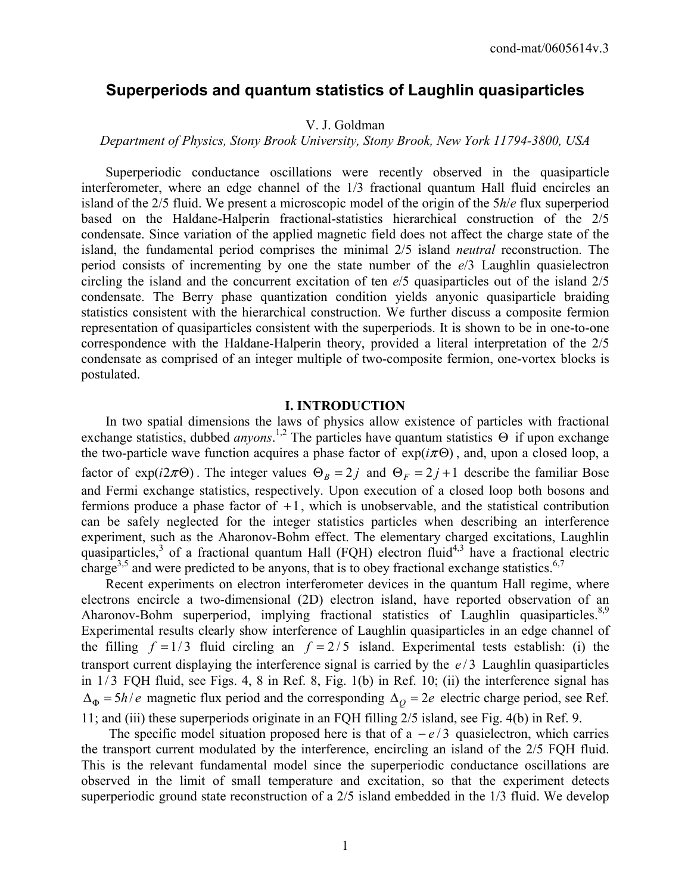# **Superperiods and quantum statistics of Laughlin quasiparticles**

## V. J. Goldman

#### *Department of Physics, Stony Brook University, Stony Brook, New York 11794-3800, USA*

 Superperiodic conductance oscillations were recently observed in the quasiparticle interferometer, where an edge channel of the 1/3 fractional quantum Hall fluid encircles an island of the 2/5 fluid. We present a microscopic model of the origin of the 5*h*/*e* flux superperiod based on the Haldane-Halperin fractional-statistics hierarchical construction of the 2/5 condensate. Since variation of the applied magnetic field does not affect the charge state of the island, the fundamental period comprises the minimal 2/5 island *neutral* reconstruction. The period consists of incrementing by one the state number of the *e*/3 Laughlin quasielectron circling the island and the concurrent excitation of ten *e*/5 quasiparticles out of the island 2/5 condensate. The Berry phase quantization condition yields anyonic quasiparticle braiding statistics consistent with the hierarchical construction. We further discuss a composite fermion representation of quasiparticles consistent with the superperiods. It is shown to be in one-to-one correspondence with the Haldane-Halperin theory, provided a literal interpretation of the 2/5 condensate as comprised of an integer multiple of two-composite fermion, one-vortex blocks is postulated.

## **I. INTRODUCTION**

 In two spatial dimensions the laws of physics allow existence of particles with fractional exchange statistics, dubbed *anyons*.<sup>1,2</sup> The particles have quantum statistics Θ if upon exchange the two-particle wave function acquires a phase factor of  $exp(i\pi\Theta)$ , and, upon a closed loop, a factor of  $\exp(i2\pi\Theta)$ . The integer values  $\Theta_B = 2j$  and  $\Theta_F = 2j + 1$  describe the familiar Bose and Fermi exchange statistics, respectively. Upon execution of a closed loop both bosons and fermions produce a phase factor of  $+1$ , which is unobservable, and the statistical contribution can be safely neglected for the integer statistics particles when describing an interference experiment, such as the Aharonov-Bohm effect. The elementary charged excitations, Laughlin quasiparticles,<sup>3</sup> of a fractional quantum Hall (FQH) electron fluid<sup>4,3</sup> have a fractional electric charge<sup>3,5</sup> and were predicted to be anyons, that is to obey fractional exchange statistics.<sup>6,7</sup>

 Recent experiments on electron interferometer devices in the quantum Hall regime, where electrons encircle a two-dimensional (2D) electron island, have reported observation of an Aharonov-Bohm superperiod, implying fractional statistics of Laughlin quasiparticles.<sup>8,9</sup> Experimental results clearly show interference of Laughlin quasiparticles in an edge channel of the filling  $f = 1/3$  fluid circling an  $f = 2/5$  island. Experimental tests establish: (i) the transport current displaying the interference signal is carried by the  $e/3$  Laughlin quasiparticles in  $1/3$  FQH fluid, see Figs. 4, 8 in Ref. 8, Fig.  $1(b)$  in Ref. 10; (ii) the interference signal has  $\Delta_{\Phi} = 5h/e$  magnetic flux period and the corresponding  $\Delta_{\Omega} = 2e$  electric charge period, see Ref. 11; and (iii) these superperiods originate in an FQH filling 2/5 island, see Fig. 4(b) in Ref. 9.

The specific model situation proposed here is that of a  $-e/3$  quasielectron, which carries the transport current modulated by the interference, encircling an island of the 2/5 FQH fluid. This is the relevant fundamental model since the superperiodic conductance oscillations are observed in the limit of small temperature and excitation, so that the experiment detects superperiodic ground state reconstruction of a 2/5 island embedded in the 1/3 fluid. We develop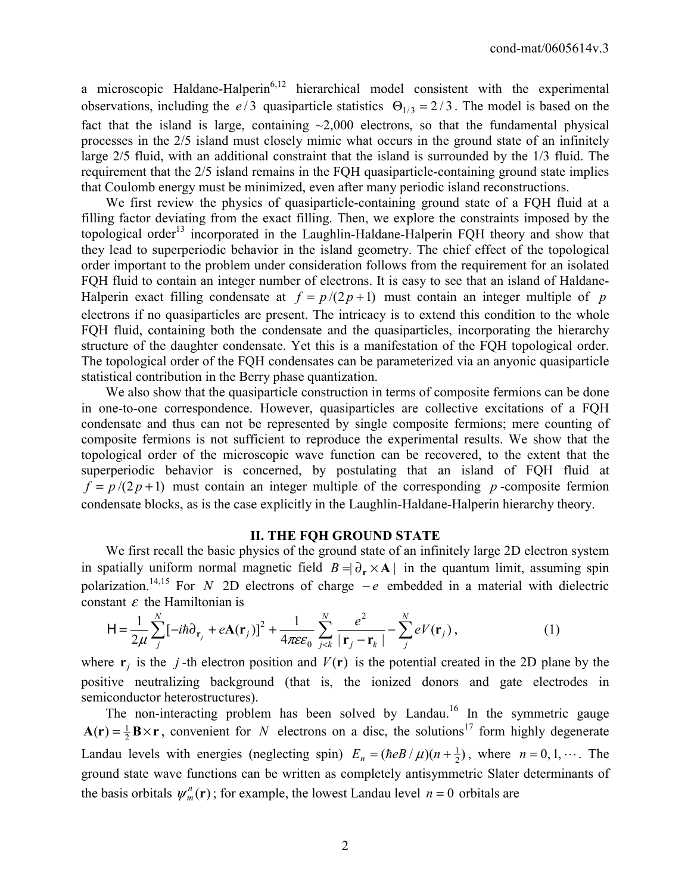a microscopic Haldane-Halperin<sup>6,12</sup> hierarchical model consistent with the experimental observations, including the *e* / 3 quasiparticle statistics  $\Theta_{1/3} = 2/3$ . The model is based on the fact that the island is large, containing  $\sim$ 2,000 electrons, so that the fundamental physical processes in the 2/5 island must closely mimic what occurs in the ground state of an infinitely large 2/5 fluid, with an additional constraint that the island is surrounded by the 1/3 fluid. The requirement that the 2/5 island remains in the FQH quasiparticle-containing ground state implies that Coulomb energy must be minimized, even after many periodic island reconstructions.

 We first review the physics of quasiparticle-containing ground state of a FQH fluid at a filling factor deviating from the exact filling. Then, we explore the constraints imposed by the topological order<sup>13</sup> incorporated in the Laughlin-Haldane-Halperin FQH theory and show that they lead to superperiodic behavior in the island geometry. The chief effect of the topological order important to the problem under consideration follows from the requirement for an isolated FQH fluid to contain an integer number of electrons. It is easy to see that an island of Haldane-Halperin exact filling condensate at  $f = p/(2p+1)$  must contain an integer multiple of *p* electrons if no quasiparticles are present. The intricacy is to extend this condition to the whole FQH fluid, containing both the condensate and the quasiparticles, incorporating the hierarchy structure of the daughter condensate. Yet this is a manifestation of the FQH topological order. The topological order of the FQH condensates can be parameterized via an anyonic quasiparticle statistical contribution in the Berry phase quantization.

We also show that the quasiparticle construction in terms of composite fermions can be done in one-to-one correspondence. However, quasiparticles are collective excitations of a FQH condensate and thus can not be represented by single composite fermions; mere counting of composite fermions is not sufficient to reproduce the experimental results. We show that the topological order of the microscopic wave function can be recovered, to the extent that the superperiodic behavior is concerned, by postulating that an island of FQH fluid at  $f = p/(2p+1)$  must contain an integer multiple of the corresponding *p*-composite fermion condensate blocks, as is the case explicitly in the Laughlin-Haldane-Halperin hierarchy theory.

## **II. THE FQH GROUND STATE**

 We first recall the basic physics of the ground state of an infinitely large 2D electron system in spatially uniform normal magnetic field  $B = \partial_r \times A$  in the quantum limit, assuming spin polarization.<sup>14,15</sup> For *N* 2D electrons of charge  $-e$  embedded in a material with dielectric constant  $\varepsilon$  the Hamiltonian is

$$
\mathsf{H} = \frac{1}{2\mu} \sum_{j}^{N} \left[ -i\hbar \partial_{\mathbf{r}_{j}} + e\mathbf{A}(\mathbf{r}_{j}) \right]^{2} + \frac{1}{4\pi \varepsilon \varepsilon_{0}} \sum_{j < k}^{N} \frac{e^{2}}{|\mathbf{r}_{j} - \mathbf{r}_{k}|} - \sum_{j}^{N} eV(\mathbf{r}_{j}), \tag{1}
$$

where  $\mathbf{r}_i$  is the *j*-th electron position and  $V(\mathbf{r})$  is the potential created in the 2D plane by the positive neutralizing background (that is, the ionized donors and gate electrodes in semiconductor heterostructures).

The non-interacting problem has been solved by Landau.<sup>16</sup> In the symmetric gauge  $A(r) = \frac{1}{2}B \times r$ , convenient for *N* electrons on a disc, the solutions<sup>17</sup> form highly degenerate Landau levels with energies (neglecting spin)  $E_n = (\hbar e B / \mu)(n + \frac{1}{2})$ , where  $n = 0, 1, \dots$ . The ground state wave functions can be written as completely antisymmetric Slater determinants of the basis orbitals  $\psi_m^n(\mathbf{r})$ ; for example, the lowest Landau level  $n = 0$  orbitals are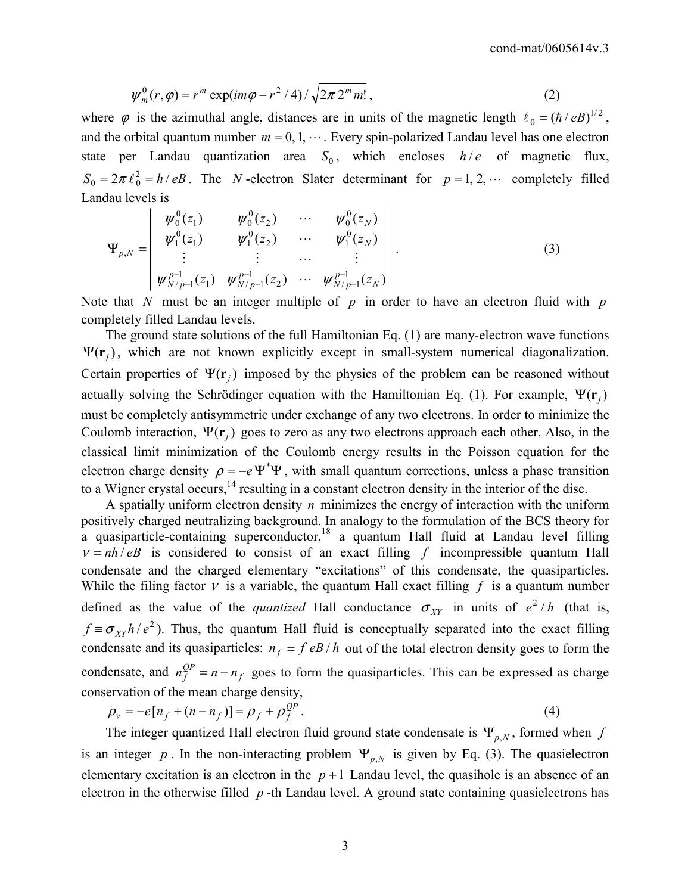$$
\psi_m^0(r,\varphi) = r^m \exp(im\varphi - r^2/4)/\sqrt{2\pi \, 2^m \, m!} \,, \tag{2}
$$

where  $\varphi$  is the azimuthal angle, distances are in units of the magnetic length  $\ell_0 = (\hbar / eB)^{1/2}$ , and the orbital quantum number  $m = 0, 1, \dots$ . Every spin-polarized Landau level has one electron state per Landau quantization area  $S_0$ , which encloses  $h/e$  of magnetic flux,  $S_0 = 2\pi \ell_0^2 = h/eB$ . The *N*-electron Slater determinant for  $p = 1, 2, \cdots$  completely filled Landau levels is

$$
\Psi_{p,N} = \begin{bmatrix} \psi_0^0(z_1) & \psi_0^0(z_2) & \cdots & \psi_0^0(z_N) \\ \psi_1^0(z_1) & \psi_1^0(z_2) & \cdots & \psi_1^0(z_N) \\ \vdots & \vdots & \cdots & \vdots \\ \psi_{N/p-1}^{p-1}(z_1) & \psi_{N/p-1}^{p-1}(z_2) & \cdots & \psi_{N/p-1}^{p-1}(z_N) \end{bmatrix} .
$$
 (3)

Note that *N* must be an integer multiple of *p* in order to have an electron fluid with *p* completely filled Landau levels.

 The ground state solutions of the full Hamiltonian Eq. (1) are many-electron wave functions  $\Psi(\mathbf{r}_i)$ , which are not known explicitly except in small-system numerical diagonalization. Certain properties of  $\Psi(\mathbf{r}_i)$  imposed by the physics of the problem can be reasoned without actually solving the Schrödinger equation with the Hamiltonian Eq. (1). For example,  $\Psi(\mathbf{r}_i)$ must be completely antisymmetric under exchange of any two electrons. In order to minimize the Coulomb interaction,  $\Psi(\mathbf{r}_i)$  goes to zero as any two electrons approach each other. Also, in the classical limit minimization of the Coulomb energy results in the Poisson equation for the electron charge density  $\rho = -e \Psi^* \Psi$ , with small quantum corrections, unless a phase transition to a Wigner crystal occurs,  $^{14}$  resulting in a constant electron density in the interior of the disc.

 A spatially uniform electron density *n* minimizes the energy of interaction with the uniform positively charged neutralizing background. In analogy to the formulation of the BCS theory for a quasiparticle-containing superconductor,<sup>18</sup> a quantum Hall fluid at Landau level filling  $v = nh / eB$  is considered to consist of an exact filling f incompressible quantum Hall condensate and the charged elementary "excitations" of this condensate, the quasiparticles. While the filing factor  $v$  is a variable, the quantum Hall exact filling  $f$  is a quantum number defined as the value of the *quantized* Hall conductance  $\sigma_{XY}$  in units of  $e^2/h$  (that is,  $f \equiv \sigma_{XY} h / e^2$ ). Thus, the quantum Hall fluid is conceptually separated into the exact filling condensate and its quasiparticles:  $n_f = f eB/h$  out of the total electron density goes to form the condensate, and  $n_f^{QP} = n - n_f$  goes to form the quasiparticles. This can be expressed as charge conservation of the mean charge density,

$$
\rho_{v} = -e[n_f + (n - n_f)] = \rho_f + \rho_f^{QP}.
$$
\n(4)

The integer quantized Hall electron fluid ground state condensate is  $\Psi_{p,N}$ , formed when *f* is an integer *p*. In the non-interacting problem  $\Psi_{p,N}$  is given by Eq. (3). The quasielectron elementary excitation is an electron in the  $p+1$  Landau level, the quasihole is an absence of an electron in the otherwise filled *p* -th Landau level. A ground state containing quasielectrons has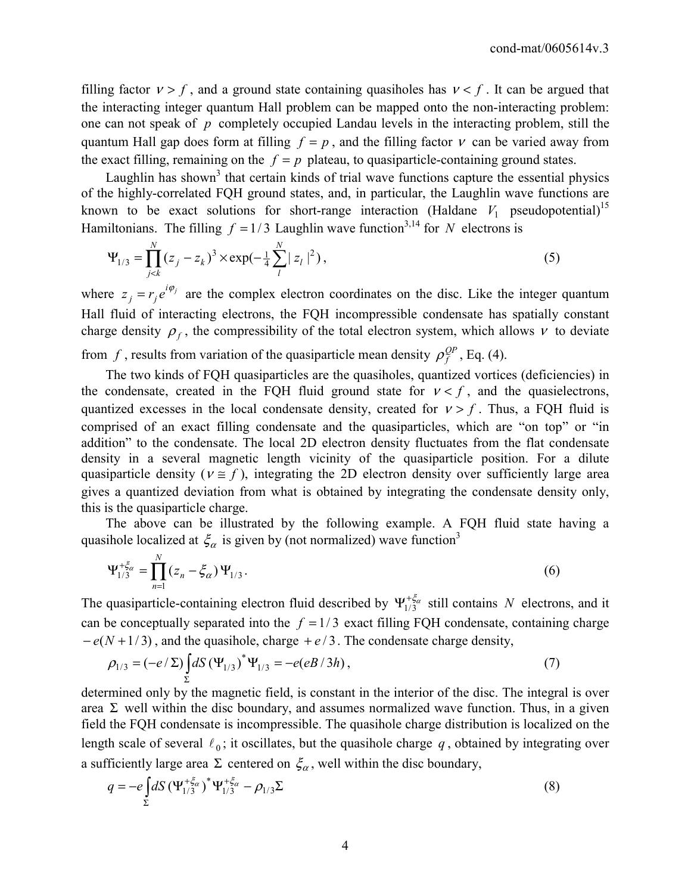filling factor  $v > f$ , and a ground state containing quasiholes has  $v < f$ . It can be argued that the interacting integer quantum Hall problem can be mapped onto the non-interacting problem: one can not speak of *p* completely occupied Landau levels in the interacting problem, still the quantum Hall gap does form at filling  $f = p$ , and the filling factor  $v$  can be varied away from the exact filling, remaining on the  $f = p$  plateau, to quasiparticle-containing ground states.

Laughlin has shown<sup>3</sup> that certain kinds of trial wave functions capture the essential physics of the highly-correlated FQH ground states, and, in particular, the Laughlin wave functions are known to be exact solutions for short-range interaction (Haldane  $V_1$  pseudopotential)<sup>15</sup> Hamiltonians. The filling  $f = 1/3$  Laughlin wave function<sup>3,14</sup> for *N* electrons is

$$
\Psi_{1/3} = \prod_{j < k}^{N} (z_j - z_k)^3 \times \exp(-\frac{1}{4} \sum_{l}^{N} |z_l|^2), \tag{5}
$$

where  $z_j = r_j e^{i\varphi_j}$  are the complex electron coordinates on the disc. Like the integer quantum Hall fluid of interacting electrons, the FQH incompressible condensate has spatially constant charge density  $\rho_f$ , the compressibility of the total electron system, which allows  $v$  to deviate from *f*, results from variation of the quasiparticle mean density  $\rho_f^{QP}$ , Eq. (4).

 The two kinds of FQH quasiparticles are the quasiholes, quantized vortices (deficiencies) in the condensate, created in the FQH fluid ground state for  $v < f$ , and the quasielectrons, quantized excesses in the local condensate density, created for  $v > f$ . Thus, a FQH fluid is comprised of an exact filling condensate and the quasiparticles, which are "on top" or "in addition" to the condensate. The local 2D electron density fluctuates from the flat condensate density in a several magnetic length vicinity of the quasiparticle position. For a dilute quasiparticle density ( $v \approx f$ ), integrating the 2D electron density over sufficiently large area gives a quantized deviation from what is obtained by integrating the condensate density only, this is the quasiparticle charge.

 The above can be illustrated by the following example. A FQH fluid state having a quasihole localized at  $\xi_{\alpha}$  is given by (not normalized) wave function<sup>3</sup>

$$
\Psi_{1/3}^{+\xi_{\alpha}} = \prod_{n=1}^{N} (z_n - \xi_{\alpha}) \Psi_{1/3}.
$$
 (6)

The quasiparticle-containing electron fluid described by  $\Psi_{1/3}^{+\xi_{\alpha}}$  still contains *N* electrons, and it can be conceptually separated into the  $f = 1/3$  exact filling FQH condensate, containing charge  $-e(N+1/3)$ , and the quasihole, charge  $+e/3$ . The condensate charge density,

$$
\rho_{1/3} = (-e/\Sigma) \int_{\Sigma} dS \left(\Psi_{1/3}\right)^* \Psi_{1/3} = -e(eB/3h), \tag{7}
$$

determined only by the magnetic field, is constant in the interior of the disc. The integral is over area  $\Sigma$  well within the disc boundary, and assumes normalized wave function. Thus, in a given field the FQH condensate is incompressible. The quasihole charge distribution is localized on the length scale of several  $\ell_0$ ; it oscillates, but the quasihole charge  $q$ , obtained by integrating over a sufficiently large area  $\Sigma$  centered on  $\xi_{\alpha}$ , well within the disc boundary,

$$
q = -e \int_{\Sigma} dS \left( \Psi_{1/3}^{+\xi_{\alpha}} \right)^{*} \Psi_{1/3}^{+\xi_{\alpha}} - \rho_{1/3} \Sigma
$$
 (8)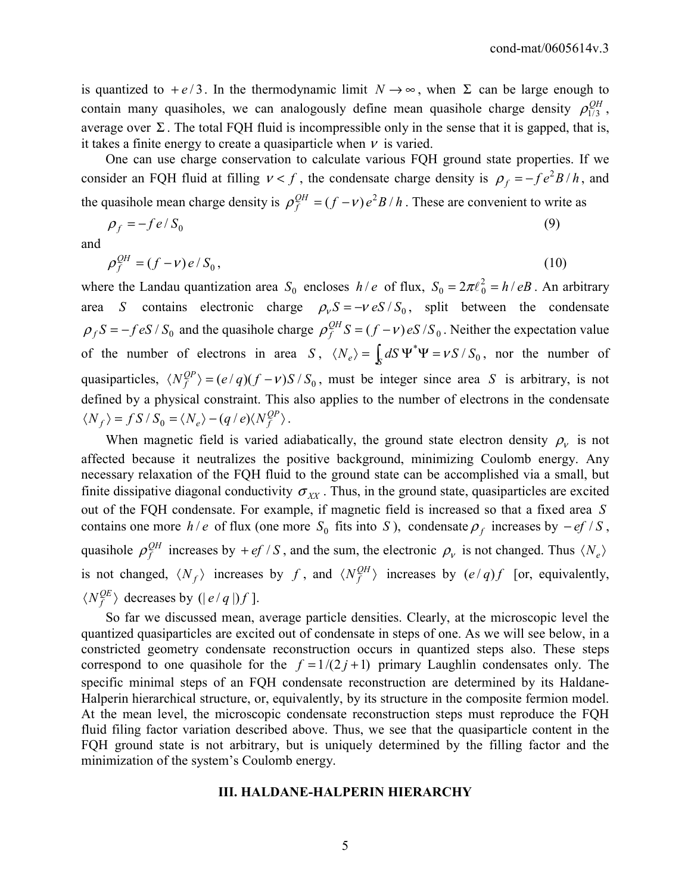is quantized to  $+e/3$ . In the thermodynamic limit  $N \rightarrow \infty$ , when  $\Sigma$  can be large enough to contain many quasiholes, we can analogously define mean quasihole charge density  $\rho_{1/3}^{QH}$ , average over  $\Sigma$ . The total FQH fluid is incompressible only in the sense that it is gapped, that is, it takes a finite energy to create a quasiparticle when  $\nu$  is varied.

 One can use charge conservation to calculate various FQH ground state properties. If we consider an FQH fluid at filling  $v < f$ , the condensate charge density is  $\rho_f = -f e^2 B/h$ , and the quasihole mean charge density is  $\rho_f^{QH} = (f - v)e^2B/h$ . These are convenient to write as

$$
\rho_f = -f e / S_0 \tag{9}
$$

and

$$
\rho_f^{\mathcal{Q}H} = (f - v)e/S_0,\tag{10}
$$

where the Landau quantization area  $S_0$  encloses  $h/e$  of flux,  $S_0 = 2\pi l_0^2 = h/eB$ . An arbitrary area *S* contains electronic charge  $\rho_v S = -v eS / S_0$ , split between the condensate  $\rho_f S = -f eS / S_0$  and the quasihole charge  $\rho_f^{QH} S = (f - v) eS / S_0$ . Neither the expectation value of the number of electrons in area *S*,  $\langle N_e \rangle = \int_S dS \Psi^* \Psi = vS / S_0$ , nor the number of quasiparticles,  $\langle N_f^{QP} \rangle = (e/q)(f - v)S / S_0$ , must be integer since area *S* is arbitrary, is not defined by a physical constraint. This also applies to the number of electrons in the condensate  $\langle N_f \rangle = f S / S_0 = \langle N_e \rangle - (q / e) \langle N_f^{QP} \rangle$ .

When magnetic field is varied adiabatically, the ground state electron density  $\rho_{\nu}$  is not affected because it neutralizes the positive background, minimizing Coulomb energy. Any necessary relaxation of the FQH fluid to the ground state can be accomplished via a small, but finite dissipative diagonal conductivity  $\sigma_{XX}$ . Thus, in the ground state, quasiparticles are excited out of the FQH condensate. For example, if magnetic field is increased so that a fixed area *S* contains one more *h* / *e* of flux (one more  $S_0$  fits into *S*), condensate  $\rho_f$  increases by  $-ef / S$ , quasihole  $\rho_f^{QH}$  increases by + *ef* / *S*, and the sum, the electronic  $\rho_v$  is not changed. Thus  $\langle N_e \rangle$ is not changed,  $\langle N_f \rangle$  increases by *f*, and  $\langle N_f^{QH} \rangle$  increases by  $(e/q)f$  [or, equivalently,  $\langle N_f^{QE} \rangle$  decreases by (|e/q|)f].

 So far we discussed mean, average particle densities. Clearly, at the microscopic level the quantized quasiparticles are excited out of condensate in steps of one. As we will see below, in a constricted geometry condensate reconstruction occurs in quantized steps also. These steps correspond to one quasihole for the  $f = 1/(2 j + 1)$  primary Laughlin condensates only. The specific minimal steps of an FQH condensate reconstruction are determined by its Haldane-Halperin hierarchical structure, or, equivalently, by its structure in the composite fermion model. At the mean level, the microscopic condensate reconstruction steps must reproduce the FQH fluid filing factor variation described above. Thus, we see that the quasiparticle content in the FQH ground state is not arbitrary, but is uniquely determined by the filling factor and the minimization of the system's Coulomb energy.

#### **III. HALDANE-HALPERIN HIERARCHY**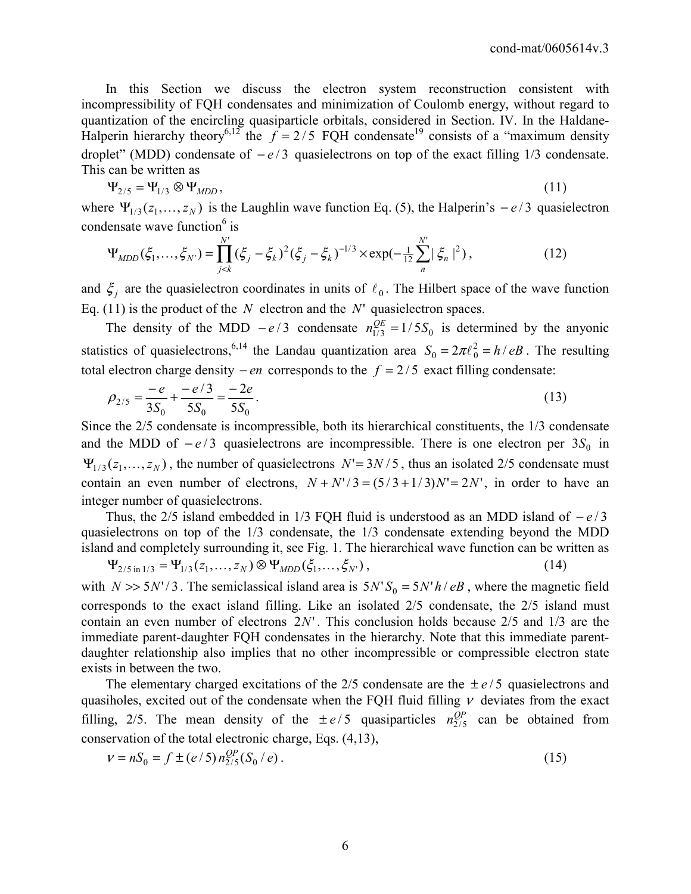In this Section we discuss the electron system reconstruction consistent with incompressibility of FQH condensates and minimization of Coulomb energy, without regard to quantization of the encircling quasiparticle orbitals, considered in Section. IV. In the Haldane-Halperin hierarchy theory<sup>6,12</sup> the  $f = 2/5$  FQH condensate<sup>19</sup> consists of a "maximum density" droplet" (MDD) condensate of  $-e/3$  quasielectrons on top of the exact filling 1/3 condensate. This can be written as

$$
\Psi_{2/5} = \Psi_{1/3} \otimes \Psi_{MDD},\tag{11}
$$

where  $\Psi_{1/3}(z_1, \ldots, z_N)$  is the Laughlin wave function Eq. (5), the Halperin's  $-e/3$  quasielectron condensate wave function<sup>6</sup> is

$$
\Psi_{MDD}(\xi_1,\ldots,\xi_{N'}) = \prod_{j
$$

and  $\xi_j$  are the quasielectron coordinates in units of  $\ell_0$ . The Hilbert space of the wave function Eq. (11) is the product of the  $N$  electron and the  $N'$  quasielectron spaces.

The density of the MDD  $-e/3$  condensate  $n_{1/3}^{OE} = 1/5S_0$  is determined by the anyonic statistics of quasielectrons,<sup>6,14</sup> the Landau quantization area  $S_0 = 2\pi \ell_0^2 = h/eB$ . The resulting total electron charge density  $- en$  corresponds to the  $f = 2/5$  exact filling condensate:

$$
\rho_{2/5} = \frac{-e}{3S_0} + \frac{-e/3}{5S_0} = \frac{-2e}{5S_0}.
$$
\n(13)

Since the 2/5 condensate is incompressible, both its hierarchical constituents, the 1/3 condensate and the MDD of  $-e/3$  quasielectrons are incompressible. There is one electron per  $3S_0$  in  $\Psi_{1/3}(z_1,...,z_N)$ , the number of quasielectrons  $N' = 3N/5$ , thus an isolated 2/5 condensate must contain an even number of electrons,  $N + N'/3 = (5/3 + 1/3)N' = 2N'$ , in order to have an integer number of quasielectrons.

Thus, the 2/5 island embedded in 1/3 FQH fluid is understood as an MDD island of  $-e/3$ quasielectrons on top of the 1/3 condensate, the 1/3 condensate extending beyond the MDD island and completely surrounding it, see Fig. 1. The hierarchical wave function can be written as

$$
\Psi_{2/5 \text{ in } 1/3} = \Psi_{1/3}(z_1, \dots, z_N) \otimes \Psi_{MDD}(\xi_1, \dots, \xi_N), \qquad (14)
$$

with  $N \gg 5N'/3$ . The semiclassical island area is  $5N'S_0 = 5N'h / eB$ , where the magnetic field corresponds to the exact island filling. Like an isolated 2/5 condensate, the 2/5 island must contain an even number of electrons  $2N'$ . This conclusion holds because  $2/5$  and  $1/3$  are the immediate parent-daughter FQH condensates in the hierarchy. Note that this immediate parentdaughter relationship also implies that no other incompressible or compressible electron state exists in between the two.

The elementary charged excitations of the  $2/5$  condensate are the  $\pm e/5$  quasielectrons and quasiholes, excited out of the condensate when the FQH fluid filling  $\nu$  deviates from the exact filling, 2/5. The mean density of the  $\pm e/5$  quasiparticles  $n_{2/5}^{QP}$  can be obtained from conservation of the total electronic charge, Eqs. (4,13),

$$
v = nS_0 = f \pm (e/5) n_{2/5}^{QP}(S_0 / e).
$$
 (15)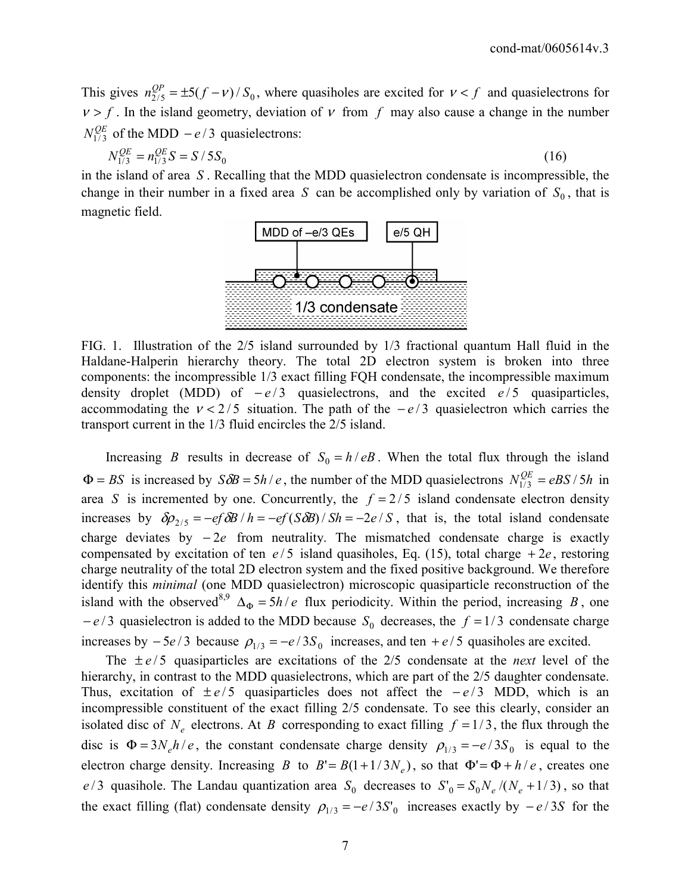This gives  $n_{2/5}^{QP} = \pm 5(f - v)/S_0$ , where quasiholes are excited for  $v < f$  and quasielectrons for  $v > f$ . In the island geometry, deviation of v from f may also cause a change in the number  $N_{1/3}^{QE}$  of the MDD  $-e/3$  quasielectrons:

$$
N_{1/3}^{QE} = n_{1/3}^{QE} S = S / 5S_0
$$
 (16)

in the island of area *S* . Recalling that the MDD quasielectron condensate is incompressible, the change in their number in a fixed area *S* can be accomplished only by variation of  $S_0$ , that is magnetic field.



FIG. 1. Illustration of the 2/5 island surrounded by 1/3 fractional quantum Hall fluid in the Haldane-Halperin hierarchy theory. The total 2D electron system is broken into three components: the incompressible 1/3 exact filling FQH condensate, the incompressible maximum density droplet (MDD) of  $-e/3$  quasielectrons, and the excited  $e/5$  quasiparticles, accommodating the  $v < 2/5$  situation. The path of the  $-e/3$  quasielectron which carries the transport current in the 1/3 fluid encircles the 2/5 island.

Increasing *B* results in decrease of  $S_0 = h/eB$ . When the total flux through the island  $\Phi = BS$  is increased by  $S\delta B = 5h/e$ , the number of the MDD quasielectrons  $N_{1/3}^{QE} = eBS/5h$  in area *S* is incremented by one. Concurrently, the  $f = 2/5$  island condensate electron density increases by  $\delta \rho_{2/5} = -e f \delta B / h = -e f (S \delta B) / Sh = -2e / S$ , that is, the total island condensate charge deviates by − 2*e* from neutrality. The mismatched condensate charge is exactly compensated by excitation of ten  $e/5$  island quasiholes, Eq. (15), total charge  $+2e$ , restoring charge neutrality of the total 2D electron system and the fixed positive background. We therefore identify this *minimal* (one MDD quasielectron) microscopic quasiparticle reconstruction of the island with the observed<sup>8,9</sup>  $\Delta_{\Phi} = 5h/e$  flux periodicity. Within the period, increasing *B*, one  $-e/3$  quasielectron is added to the MDD because  $S_0$  decreases, the  $f = 1/3$  condensate charge increases by  $-5e/3$  because  $\rho_{1/3} = -e/3S_0$  increases, and ten  $+e/5$  quasiholes are excited.

The  $\pm e/5$  quasiparticles are excitations of the 2/5 condensate at the *next* level of the hierarchy, in contrast to the MDD quasielectrons, which are part of the 2/5 daughter condensate. Thus, excitation of  $\pm e/5$  quasiparticles does not affect the  $-e/3$  MDD, which is an incompressible constituent of the exact filling 2/5 condensate. To see this clearly, consider an isolated disc of  $N_e$  electrons. At *B* corresponding to exact filling  $f = 1/3$ , the flux through the disc is  $\Phi = 3N_e h/e$ , the constant condensate charge density  $\rho_{1/3} = -e/3S_0$  is equal to the electron charge density. Increasing *B* to  $B' = B(1 + 1/3N_e)$ , so that  $\Phi' = \Phi + h/e$ , creates one *e* / 3 quasihole. The Landau quantization area  $S_0$  decreases to  $S_0 = S_0 N_e / (N_e + 1/3)$ , so that the exact filling (flat) condensate density  $\rho_{1/3} = -e / 3S'_{0}$  increases exactly by  $-e / 3S$  for the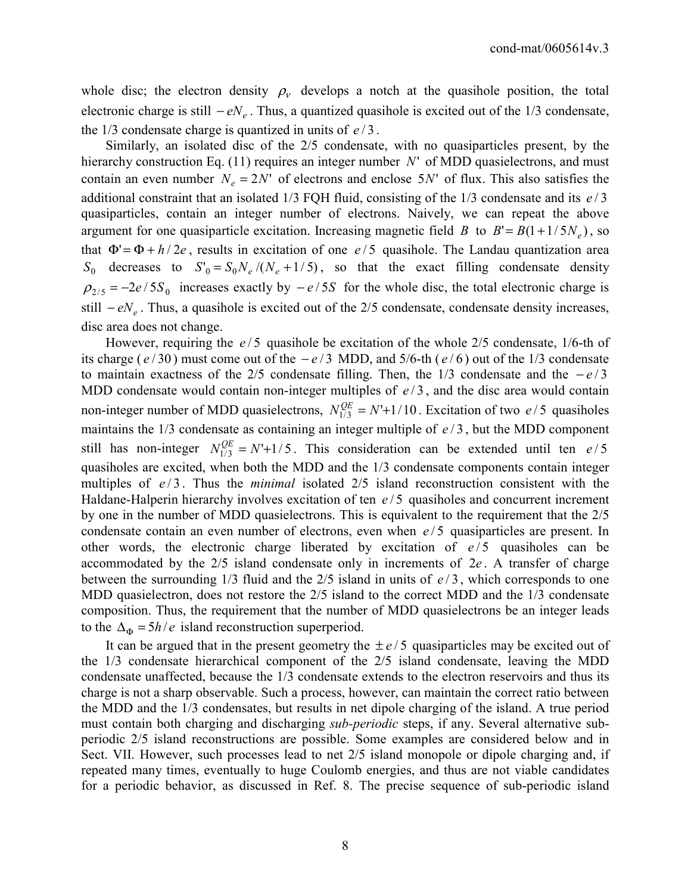whole disc; the electron density  $\rho_{\nu}$  develops a notch at the quasihole position, the total electronic charge is still  $-eN_e$ . Thus, a quantized quasihole is excited out of the 1/3 condensate, the 1/3 condensate charge is quantized in units of *e* / 3 .

 Similarly, an isolated disc of the 2/5 condensate, with no quasiparticles present, by the hierarchy construction Eq.  $(11)$  requires an integer number  $N'$  of MDD quasielectrons, and must contain an even number  $N_e = 2N'$  of electrons and enclose 5*N*' of flux. This also satisfies the additional constraint that an isolated  $1/3$  FQH fluid, consisting of the  $1/3$  condensate and its  $e/3$ quasiparticles, contain an integer number of electrons. Naively, we can repeat the above argument for one quasiparticle excitation. Increasing magnetic field *B* to  $B' = B(1 + 1/5N_e)$ , so that  $\Phi' = \Phi + h/2e$ , results in excitation of one  $e/5$  quasihole. The Landau quantization area  $S_0$  decreases to  $S_0 = S_0 N_e / (N_e + 1/5)$ , so that the exact filling condensate density  $\rho_{2/5} = -2e/5S_0$  increases exactly by  $-e/5S$  for the whole disc, the total electronic charge is still *– eN*<sub>*e*</sub>. Thus, a quasihole is excited out of the 2/5 condensate, condensate density increases, disc area does not change.

However, requiring the  $e/5$  quasihole be excitation of the whole 2/5 condensate, 1/6-th of its charge ( $e/30$ ) must come out of the  $-e/3$  MDD, and 5/6-th ( $e/6$ ) out of the 1/3 condensate to maintain exactness of the 2/5 condensate filling. Then, the  $1/3$  condensate and the  $-e/3$ MDD condensate would contain non-integer multiples of  $e/3$ , and the disc area would contain non-integer number of MDD quasielectrons,  $N_{1/3}^{QE} = N' + 1/10$ . Excitation of two  $e/5$  quasiholes maintains the  $1/3$  condensate as containing an integer multiple of  $e/3$ , but the MDD component still has non-integer  $N_{1/3}^{OE} = N' + 1/5$ . This consideration can be extended until ten  $e/5$ quasiholes are excited, when both the MDD and the 1/3 condensate components contain integer multiples of  $e/3$ . Thus the *minimal* isolated 2/5 island reconstruction consistent with the Haldane-Halperin hierarchy involves excitation of ten  $e/5$  quasiholes and concurrent increment by one in the number of MDD quasielectrons. This is equivalent to the requirement that the 2/5 condensate contain an even number of electrons, even when  $e/5$  quasiparticles are present. In other words, the electronic charge liberated by excitation of  $e/5$  quasiholes can be accommodated by the 2/5 island condensate only in increments of 2e. A transfer of charge between the surrounding  $1/3$  fluid and the  $2/5$  island in units of  $e/3$ , which corresponds to one MDD quasielectron, does not restore the 2/5 island to the correct MDD and the 1/3 condensate composition. Thus, the requirement that the number of MDD quasielectrons be an integer leads to the  $\Delta_{\Phi} = 5h/e$  island reconstruction superperiod.

It can be argued that in the present geometry the  $\pm e/5$  quasiparticles may be excited out of the 1/3 condensate hierarchical component of the 2/5 island condensate, leaving the MDD condensate unaffected, because the 1/3 condensate extends to the electron reservoirs and thus its charge is not a sharp observable. Such a process, however, can maintain the correct ratio between the MDD and the 1/3 condensates, but results in net dipole charging of the island. A true period must contain both charging and discharging *sub-periodic* steps, if any. Several alternative subperiodic 2/5 island reconstructions are possible. Some examples are considered below and in Sect. VII. However, such processes lead to net 2/5 island monopole or dipole charging and, if repeated many times, eventually to huge Coulomb energies, and thus are not viable candidates for a periodic behavior, as discussed in Ref. 8. The precise sequence of sub-periodic island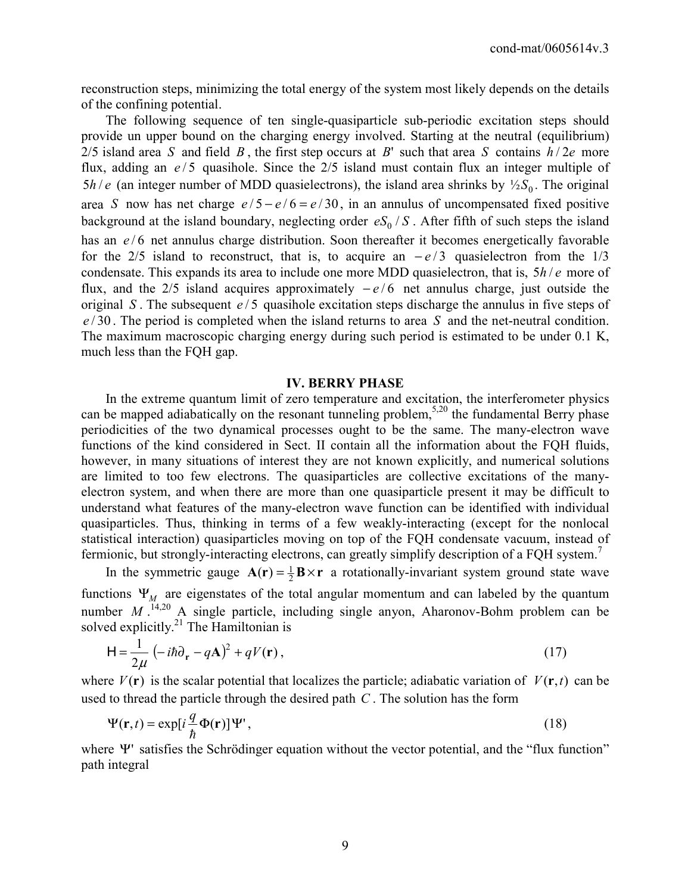reconstruction steps, minimizing the total energy of the system most likely depends on the details of the confining potential.

 The following sequence of ten single-quasiparticle sub-periodic excitation steps should provide un upper bound on the charging energy involved. Starting at the neutral (equilibrium) 2/5 island area *S* and field *B*, the first step occurs at *B*' such that area *S* contains  $h/2e$  more flux, adding an  $e/5$  quasihole. Since the  $2/5$  island must contain flux an integer multiple of 5*h/e* (an integer number of MDD quasielectrons), the island area shrinks by  $\frac{1}{2}S_0$ . The original area *S* now has net charge  $e/5 - e/6 = e/30$ , in an annulus of uncompensated fixed positive background at the island boundary, neglecting order  $eS_0/S$ . After fifth of such steps the island has an  $e/6$  net annulus charge distribution. Soon thereafter it becomes energetically favorable for the 2/5 island to reconstruct, that is, to acquire an  $-e/3$  quasielectron from the 1/3 condensate. This expands its area to include one more MDD quasielectron, that is,  $5h/e$  more of flux, and the 2/5 island acquires approximately  $-e/6$  net annulus charge, just outside the original *S*. The subsequent  $e/5$  quasihole excitation steps discharge the annulus in five steps of *e* / 30 . The period is completed when the island returns to area *S* and the net-neutral condition. The maximum macroscopic charging energy during such period is estimated to be under 0.1 K, much less than the FQH gap.

#### **IV. BERRY PHASE**

 In the extreme quantum limit of zero temperature and excitation, the interferometer physics can be mapped adiabatically on the resonant tunneling problem,<sup>5,20</sup> the fundamental Berry phase periodicities of the two dynamical processes ought to be the same. The many-electron wave functions of the kind considered in Sect. II contain all the information about the FQH fluids, however, in many situations of interest they are not known explicitly, and numerical solutions are limited to too few electrons. The quasiparticles are collective excitations of the manyelectron system, and when there are more than one quasiparticle present it may be difficult to understand what features of the many-electron wave function can be identified with individual quasiparticles. Thus, thinking in terms of a few weakly-interacting (except for the nonlocal statistical interaction) quasiparticles moving on top of the FQH condensate vacuum, instead of fermionic, but strongly-interacting electrons, can greatly simplify description of a FQH system.<sup>7</sup>

In the symmetric gauge  $A(r) = \frac{1}{2}B \times r$  a rotationally-invariant system ground state wave functions  $\Psi_M$  are eigenstates of the total angular momentum and can labeled by the quantum number  $M$ .<sup>14,20</sup> A single particle, including single anyon, Aharonov-Bohm problem can be solved explicitly. $^{21}$  The Hamiltonian is

$$
\mathsf{H} = \frac{1}{2\mu} \left( -i\hbar \partial_{\mathbf{r}} - q\mathbf{A} \right)^2 + qV(\mathbf{r}),\tag{17}
$$

where  $V(\mathbf{r})$  is the scalar potential that localizes the particle; adiabatic variation of  $V(\mathbf{r},t)$  can be used to thread the particle through the desired path *C* . The solution has the form

$$
\Psi(\mathbf{r},t) = \exp[i\frac{q}{\hbar}\Phi(\mathbf{r})]\Psi',\tag{18}
$$

where  $\Psi$  satisfies the Schrödinger equation without the vector potential, and the "flux function" path integral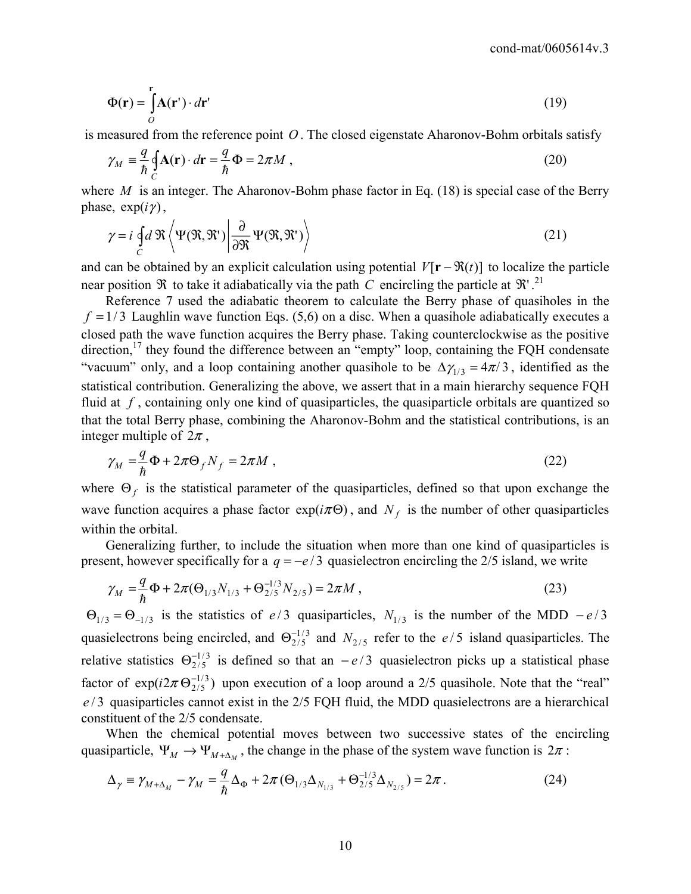$$
\Phi(\mathbf{r}) = \int_{0}^{\mathbf{r}} \mathbf{A}(\mathbf{r}') \cdot d\mathbf{r}' \tag{19}
$$

is measured from the reference point *O* . The closed eigenstate Aharonov-Bohm orbitals satisfy

$$
\gamma_M \equiv \frac{q}{\hbar} \oint_C \mathbf{A}(\mathbf{r}) \cdot d\mathbf{r} = \frac{q}{\hbar} \Phi = 2\pi M \,, \tag{20}
$$

where *M* is an integer. The Aharonov-Bohm phase factor in Eq. (18) is special case of the Berry phase,  $\exp(i\gamma)$ ,

$$
\gamma = i \oint_C d\mathfrak{R} \left\langle \Psi(\mathfrak{R}, \mathfrak{R}') \middle| \frac{\partial}{\partial \mathfrak{R}} \Psi(\mathfrak{R}, \mathfrak{R}') \right\rangle
$$
 (21)

and can be obtained by an explicit calculation using potential  $V[\mathbf{r} - \mathfrak{R}(t)]$  to localize the particle near position  $\Re$  to take it adiabatically via the path *C* encircling the particle at  $\Re$ '.<sup>21</sup>

 Reference 7 used the adiabatic theorem to calculate the Berry phase of quasiholes in the  $f = 1/3$  Laughlin wave function Eqs. (5,6) on a disc. When a quasihole adiabatically executes a closed path the wave function acquires the Berry phase. Taking counterclockwise as the positive direction,<sup>17</sup> they found the difference between an "empty" loop, containing the FQH condensate "vacuum" only, and a loop containing another quasihole to be  $\Delta \gamma_{1/3} = 4\pi/3$ , identified as the statistical contribution. Generalizing the above, we assert that in a main hierarchy sequence FQH fluid at *f* , containing only one kind of quasiparticles, the quasiparticle orbitals are quantized so that the total Berry phase, combining the Aharonov-Bohm and the statistical contributions, is an integer multiple of  $2\pi$ ,

$$
\gamma_M = \frac{q}{\hbar} \Phi + 2\pi \Theta_f N_f = 2\pi M \tag{22}
$$

where  $\Theta_f$  is the statistical parameter of the quasiparticles, defined so that upon exchange the wave function acquires a phase factor  $exp(i\pi\Theta)$ , and  $N_f$  is the number of other quasiparticles within the orbital.

 Generalizing further, to include the situation when more than one kind of quasiparticles is present, however specifically for a  $q = -e/3$  quasielectron encircling the 2/5 island, we write

$$
\gamma_M = \frac{q}{\hbar} \Phi + 2\pi (\Theta_{1/3} N_{1/3} + \Theta_{2/5}^{-1/3} N_{2/5}) = 2\pi M , \qquad (23)
$$

 $\Theta_{1/3} = \Theta_{-1/3}$  is the statistics of *e* / 3 quasiparticles,  $N_{1/3}$  is the number of the MDD  $-e/3$ quasielectrons being encircled, and  $\Theta_{2/5}^{-1/3}$  and  $N_{2/5}$  refer to the *e*/5 island quasiparticles. The relative statistics  $\Theta_{2/5}^{-1/3}$  is defined so that an  $-e/3$  quasielectron picks up a statistical phase factor of  $exp(i2\pi \Theta_{2/5}^{-1/3})$  upon execution of a loop around a 2/5 quasihole. Note that the "real" *e* / 3 quasiparticles cannot exist in the 2/5 FQH fluid, the MDD quasielectrons are a hierarchical constituent of the 2/5 condensate.

 When the chemical potential moves between two successive states of the encircling quasiparticle,  $\Psi_M \to \Psi_{M+\Delta_M}$ , the change in the phase of the system wave function is  $2\pi$ :

$$
\Delta_{\gamma} = \gamma_{M+\Delta_M} - \gamma_M = \frac{q}{\hbar} \Delta_{\Phi} + 2\pi (\Theta_{1/3} \Delta_{N_{1/3}} + \Theta_{2/5}^{-1/3} \Delta_{N_{2/5}}) = 2\pi.
$$
 (24)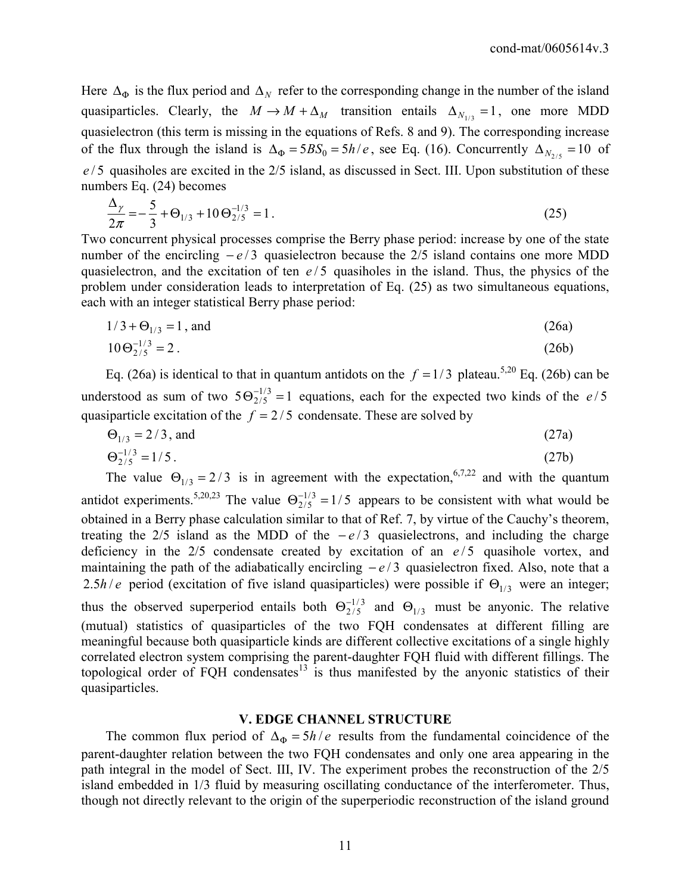Here  $\Delta_{\Phi}$  is the flux period and  $\Delta_N$  refer to the corresponding change in the number of the island quasiparticles. Clearly, the  $M \to M + \Delta_M$  transition entails  $\Delta_{N_{1/2}} = 1$ , one more MDD quasielectron (this term is missing in the equations of Refs. 8 and 9). The corresponding increase of the flux through the island is  $\Delta_{\Phi} = 5B S_0 = 5h/e$ , see Eq. (16). Concurrently  $\Delta_{N_{2/5}} = 10$  of *e* / 5 quasiholes are excited in the 2/5 island, as discussed in Sect. III. Upon substitution of these numbers Eq. (24) becomes

$$
\frac{\Delta_{\gamma}}{2\pi} = -\frac{5}{3} + \Theta_{1/3} + 10 \Theta_{2/5}^{-1/3} = 1.
$$
 (25)

Two concurrent physical processes comprise the Berry phase period: increase by one of the state number of the encircling  $-e/3$  quasielectron because the 2/5 island contains one more MDD quasielectron, and the excitation of ten  $e/5$  quasiholes in the island. Thus, the physics of the problem under consideration leads to interpretation of Eq. (25) as two simultaneous equations, each with an integer statistical Berry phase period:

$$
1/3 + \Theta_{1/3} = 1, \text{ and } (26a)
$$

$$
10\Theta_{2/5}^{-1/3} = 2\,. \tag{26b}
$$

Eq. (26a) is identical to that in quantum antidots on the  $f = 1/3$  plateau.<sup>5,20</sup> Eq. (26b) can be understood as sum of two  $5\Theta_{2/5}^{-1/3} = 1$  equations, each for the expected two kinds of the *e* / 5 quasiparticle excitation of the  $f = 2/5$  condensate. These are solved by

$$
\Theta_{1/3} = 2/3
$$
, and (27a)

$$
\Theta_{2/5}^{-1/3} = 1/5 \tag{27b}
$$

The value  $\Theta_{1/3} = 2/3$  is in agreement with the expectation,<sup>6,7,22</sup> and with the quantum antidot experiments.<sup>5,20,23</sup> The value  $\Theta_{2/5}^{-1/3} = 1/5$  appears to be consistent with what would be obtained in a Berry phase calculation similar to that of Ref. 7, by virtue of the Cauchy's theorem, treating the 2/5 island as the MDD of the  $-e/3$  quasielectrons, and including the charge deficiency in the  $2/5$  condensate created by excitation of an  $e/5$  quasihole vortex, and maintaining the path of the adiabatically encircling  $-e/3$  quasielectron fixed. Also, note that a 2.5*h/e* period (excitation of five island quasiparticles) were possible if  $\Theta_{1/3}$  were an integer; thus the observed superperiod entails both  $\Theta_{2/5}^{-1/3}$  and  $\Theta_{1/3}$  must be anyonic. The relative (mutual) statistics of quasiparticles of the two FQH condensates at different filling are meaningful because both quasiparticle kinds are different collective excitations of a single highly correlated electron system comprising the parent-daughter FQH fluid with different fillings. The topological order of FQH condensates $13$  is thus manifested by the anyonic statistics of their quasiparticles.

## **V. EDGE CHANNEL STRUCTURE**

The common flux period of  $\Delta_{\Phi} = 5h/e$  results from the fundamental coincidence of the parent-daughter relation between the two FQH condensates and only one area appearing in the path integral in the model of Sect. III, IV. The experiment probes the reconstruction of the 2/5 island embedded in 1/3 fluid by measuring oscillating conductance of the interferometer. Thus, though not directly relevant to the origin of the superperiodic reconstruction of the island ground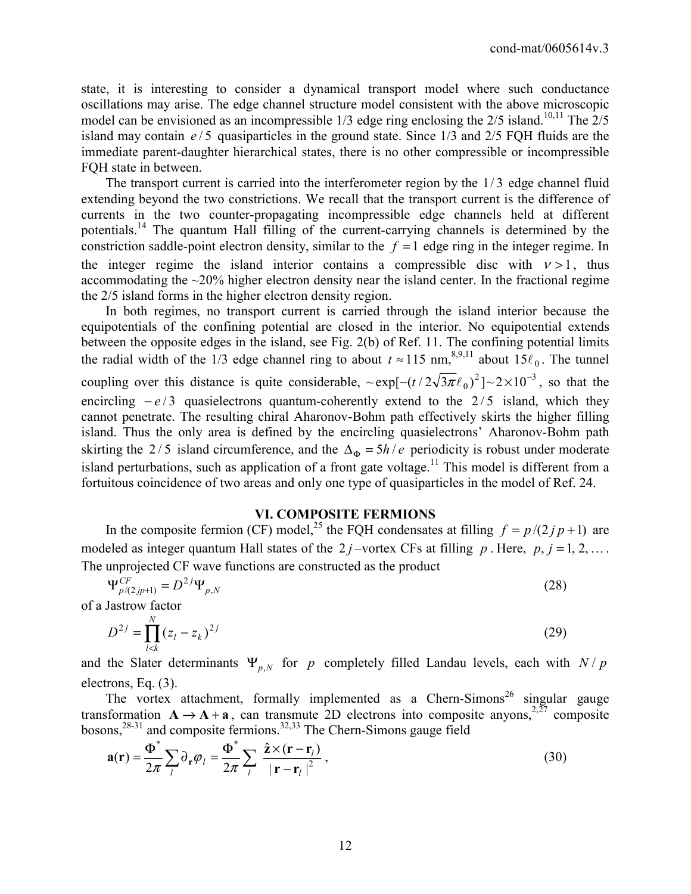state, it is interesting to consider a dynamical transport model where such conductance oscillations may arise. The edge channel structure model consistent with the above microscopic model can be envisioned as an incompressible  $1/3$  edge ring enclosing the  $2/5$  island.<sup>10,11</sup> The  $2/5$ island may contain  $e/5$  quasiparticles in the ground state. Since 1/3 and 2/5 FQH fluids are the immediate parent-daughter hierarchical states, there is no other compressible or incompressible FQH state in between.

The transport current is carried into the interferometer region by the  $1/3$  edge channel fluid extending beyond the two constrictions. We recall that the transport current is the difference of currents in the two counter-propagating incompressible edge channels held at different potentials.14 The quantum Hall filling of the current-carrying channels is determined by the constriction saddle-point electron density, similar to the  $f = 1$  edge ring in the integer regime. In the integer regime the island interior contains a compressible disc with  $v > 1$ , thus accommodating the ~20% higher electron density near the island center. In the fractional regime the 2/5 island forms in the higher electron density region.

 In both regimes, no transport current is carried through the island interior because the equipotentials of the confining potential are closed in the interior. No equipotential extends between the opposite edges in the island, see Fig. 2(b) of Ref. 11. The confining potential limits the radial width of the 1/3 edge channel ring to about  $t \approx 115$  nm,<sup>8,9,11</sup> about  $15\ell_0$ . The tunnel coupling over this distance is quite considerable,  $\sim \exp[-(t/2\sqrt{3\pi}\ell_0)^2] \sim 2 \times 10^{-3}$ , so that the encircling  $-e/3$  quasielectrons quantum-coherently extend to the  $2/5$  island, which they cannot penetrate. The resulting chiral Aharonov-Bohm path effectively skirts the higher filling island. Thus the only area is defined by the encircling quasielectrons' Aharonov-Bohm path skirting the 2/5 island circumference, and the  $\Delta_{\Phi} = 5h/e$  periodicity is robust under moderate island perturbations, such as application of a front gate voltage.<sup>11</sup> This model is different from a fortuitous coincidence of two areas and only one type of quasiparticles in the model of Ref. 24.

## **VI. COMPOSITE FERMIONS**

In the composite fermion (CF) model,<sup>25</sup> the FQH condensates at filling  $f = p/(2j p + 1)$  are modeled as integer quantum Hall states of the 2 *j* –vortex CFs at filling *p*. Here, *p*, *j* = 1, 2, ... The unprojected CF wave functions are constructed as the product

$$
\Psi_{p/(2jp+1)}^{CF} = D^{2j} \Psi_{p,N}
$$
\n(28)

of a Jastrow factor

$$
D^{2j} = \prod_{l \lt k}^{N} (z_l - z_k)^{2j} \tag{29}
$$

and the Slater determinants  $\Psi_{p,N}$  for *p* completely filled Landau levels, each with  $N/p$ electrons, Eq. (3).

The vortex attachment, formally implemented as a Chern-Simons<sup>26</sup> singular gauge transformation  $A \rightarrow A + a$ , can transmute 2D electrons into composite anyons,<sup>2,27</sup> composite bosons, $28-31$  and composite fermions.  $32,33$  The Chern-Simons gauge field

$$
\mathbf{a}(\mathbf{r}) = \frac{\Phi^*}{2\pi} \sum_l \partial_r \varphi_l = \frac{\Phi^*}{2\pi} \sum_l \frac{\hat{\mathbf{z}} \times (\mathbf{r} - \mathbf{r}_l)}{|\mathbf{r} - \mathbf{r}_l|^2},
$$
(30)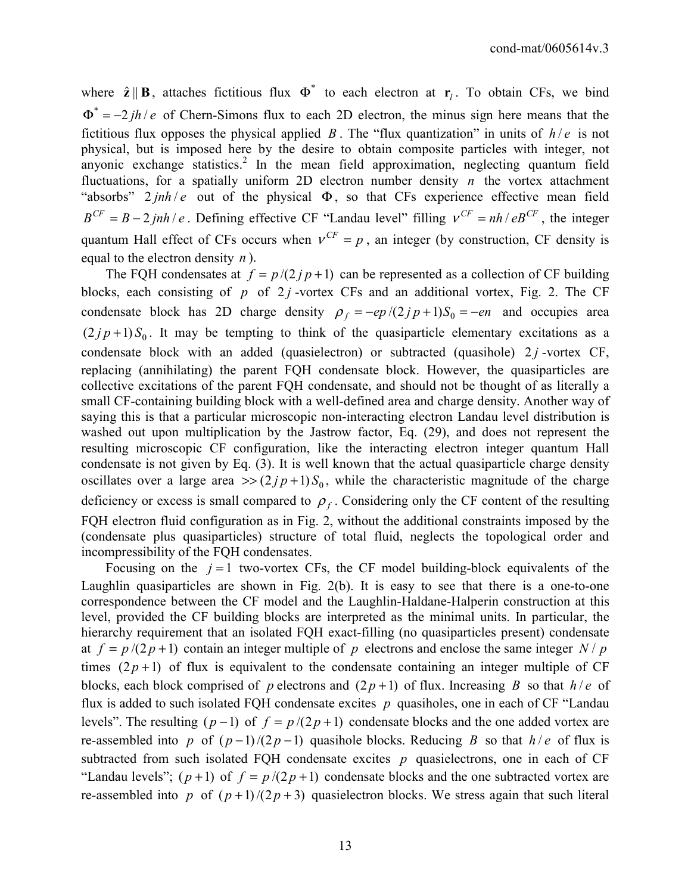where  $\hat{\mathbf{z}} \parallel \mathbf{B}$ , attaches fictitious flux  $\Phi^*$  to each electron at  $\mathbf{r}_i$ . To obtain CFs, we bind  $\Phi^* = -2i\hbar/e$  of Chern-Simons flux to each 2D electron, the minus sign here means that the fictitious flux opposes the physical applied *B*. The "flux quantization" in units of  $h/e$  is not physical, but is imposed here by the desire to obtain composite particles with integer, not anyonic exchange statistics.<sup>2</sup> In the mean field approximation, neglecting quantum field fluctuations, for a spatially uniform 2D electron number density *n* the vortex attachment "absorbs"  $2 \pi h/e$  out of the physical  $\Phi$ , so that CFs experience effective mean field  $B^{CF} = B - 2jnh/e$ . Defining effective CF "Landau level" filling  $v^{CF} = nh/eB^{CF}$ , the integer quantum Hall effect of CFs occurs when  $v^{CF} = p$ , an integer (by construction, CF density is equal to the electron density *n* ).

The FQH condensates at  $f = p/(2j p + 1)$  can be represented as a collection of CF building blocks, each consisting of  $p$  of  $2j$ -vortex CFs and an additional vortex, Fig. 2. The CF condensate block has 2D charge density  $\rho_f = -ep/(2jp+1)S_0 = -en$  and occupies area  $(2 j p+1) S<sub>0</sub>$ . It may be tempting to think of the quasiparticle elementary excitations as a condensate block with an added (quasielectron) or subtracted (quasihole)  $2j$ -vortex CF, replacing (annihilating) the parent FQH condensate block. However, the quasiparticles are collective excitations of the parent FQH condensate, and should not be thought of as literally a small CF-containing building block with a well-defined area and charge density. Another way of saying this is that a particular microscopic non-interacting electron Landau level distribution is washed out upon multiplication by the Jastrow factor, Eq. (29), and does not represent the resulting microscopic CF configuration, like the interacting electron integer quantum Hall condensate is not given by Eq. (3). It is well known that the actual quasiparticle charge density oscillates over a large area  $\gg$  (2*jp*+1) *S*<sub>0</sub>, while the characteristic magnitude of the charge deficiency or excess is small compared to  $\rho_f$ . Considering only the CF content of the resulting FQH electron fluid configuration as in Fig. 2, without the additional constraints imposed by the (condensate plus quasiparticles) structure of total fluid, neglects the topological order and incompressibility of the FQH condensates.

Focusing on the  $j = 1$  two-vortex CFs, the CF model building-block equivalents of the Laughlin quasiparticles are shown in Fig. 2(b). It is easy to see that there is a one-to-one correspondence between the CF model and the Laughlin-Haldane-Halperin construction at this level, provided the CF building blocks are interpreted as the minimal units. In particular, the hierarchy requirement that an isolated FQH exact-filling (no quasiparticles present) condensate at  $f = p/(2p+1)$  contain an integer multiple of p electrons and enclose the same integer N / p times  $(2p+1)$  of flux is equivalent to the condensate containing an integer multiple of CF blocks, each block comprised of *p* electrons and  $(2p+1)$  of flux. Increasing *B* so that  $h/e$  of flux is added to such isolated FQH condensate excites *p* quasiholes, one in each of CF "Landau levels". The resulting  $(p-1)$  of  $f = p/(2p+1)$  condensate blocks and the one added vortex are re-assembled into *p* of  $(p-1)/(2p-1)$  quasihole blocks. Reducing *B* so that  $h/e$  of flux is subtracted from such isolated FQH condensate excites  $p$  quasielectrons, one in each of CF "Landau levels";  $(p+1)$  of  $f = p/(2p+1)$  condensate blocks and the one subtracted vortex are re-assembled into *p* of  $(p+1)/(2p+3)$  quasielectron blocks. We stress again that such literal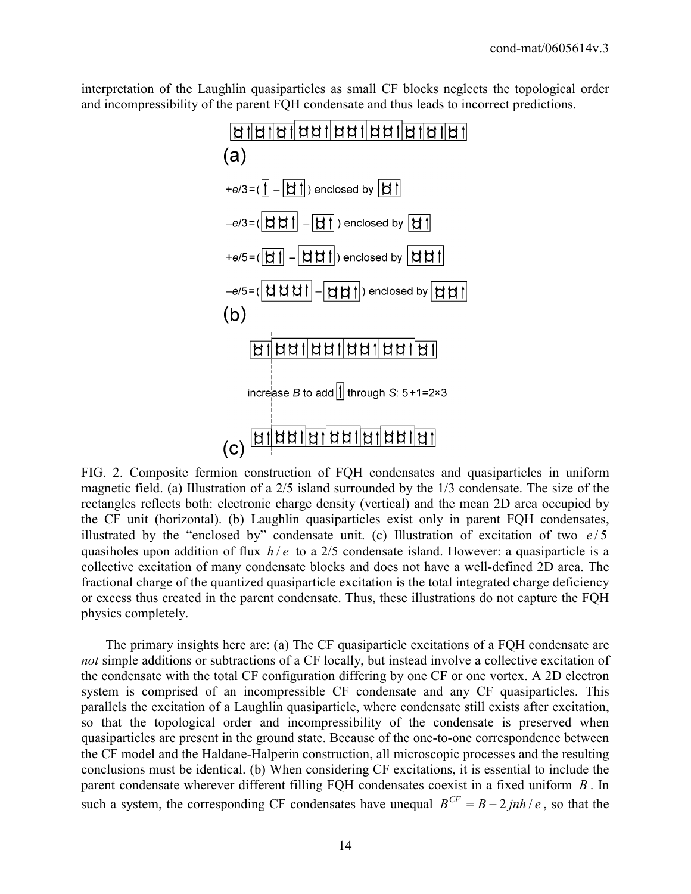interpretation of the Laughlin quasiparticles as small CF blocks neglects the topological order and incompressibility of the parent FQH condensate and thus leads to incorrect predictions.



FIG. 2. Composite fermion construction of FQH condensates and quasiparticles in uniform magnetic field. (a) Illustration of a 2/5 island surrounded by the 1/3 condensate. The size of the rectangles reflects both: electronic charge density (vertical) and the mean 2D area occupied by the CF unit (horizontal). (b) Laughlin quasiparticles exist only in parent FQH condensates, illustrated by the "enclosed by" condensate unit. (c) Illustration of excitation of two  $e/5$ quasiholes upon addition of flux *h* / *e* to a 2/5 condensate island. However: a quasiparticle is a collective excitation of many condensate blocks and does not have a well-defined 2D area. The fractional charge of the quantized quasiparticle excitation is the total integrated charge deficiency or excess thus created in the parent condensate. Thus, these illustrations do not capture the FQH physics completely.

 The primary insights here are: (a) The CF quasiparticle excitations of a FQH condensate are *not* simple additions or subtractions of a CF locally, but instead involve a collective excitation of the condensate with the total CF configuration differing by one CF or one vortex. A 2D electron system is comprised of an incompressible CF condensate and any CF quasiparticles. This parallels the excitation of a Laughlin quasiparticle, where condensate still exists after excitation, so that the topological order and incompressibility of the condensate is preserved when quasiparticles are present in the ground state. Because of the one-to-one correspondence between the CF model and the Haldane-Halperin construction, all microscopic processes and the resulting conclusions must be identical. (b) When considering CF excitations, it is essential to include the parent condensate wherever different filling FQH condensates coexist in a fixed uniform *B* . In such a system, the corresponding CF condensates have unequal  $B^{CF} = B - 2jnh/e$ , so that the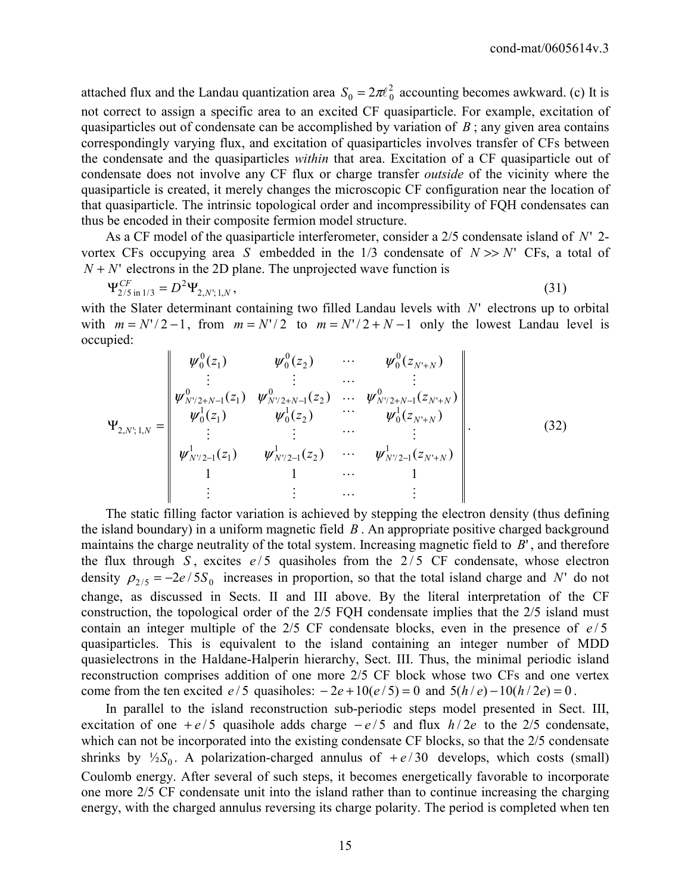attached flux and the Landau quantization area  $S_0 = 2\pi l_0^2$  accounting becomes awkward. (c) It is not correct to assign a specific area to an excited CF quasiparticle. For example, excitation of quasiparticles out of condensate can be accomplished by variation of *B* ; any given area contains correspondingly varying flux, and excitation of quasiparticles involves transfer of CFs between the condensate and the quasiparticles *within* that area. Excitation of a CF quasiparticle out of condensate does not involve any CF flux or charge transfer *outside* of the vicinity where the quasiparticle is created, it merely changes the microscopic CF configuration near the location of that quasiparticle. The intrinsic topological order and incompressibility of FQH condensates can thus be encoded in their composite fermion model structure.

 As a CF model of the quasiparticle interferometer, consider a 2/5 condensate island of *N*' 2 vortex CFs occupying area *S* embedded in the  $1/3$  condensate of  $N \gg N'$  CFs, a total of  $N + N'$  electrons in the 2D plane. The unprojected wave function is

$$
\Psi_{2/5 \text{ in } 1/3}^{CF} = D^2 \Psi_{2,N';1,N},\tag{31}
$$

with the Slater determinant containing two filled Landau levels with N' electrons up to orbital with  $m = N'/2 - 1$ , from  $m = N'/2$  to  $m = N'/2 + N - 1$  only the lowest Landau level is occupied:

$$
\Psi_{2,N;1,N} = \begin{vmatrix}\n\psi_0^0(z_1) & \psi_0^0(z_2) & \cdots & \psi_0^0(z_{N+N}) \\
\vdots & \vdots & \cdots & \vdots \\
\psi_{N'/2+N-1}^0(z_1) & \psi_{N'/2+N-1}^0(z_2) & \cdots & \psi_{N'/2+N-1}^0(z_{N'+N}) \\
\vdots & \vdots & \cdots & \vdots \\
\psi_{N'/2-1}^1(z_1) & \psi_{N'/2-1}^1(z_2) & \cdots & \psi_{N'/2-1}^1(z_{N'+N}) \\
1 & 1 & \cdots & 1 \\
\vdots & \vdots & \cdots & \vdots\n\end{vmatrix} .
$$
\n(32)

 The static filling factor variation is achieved by stepping the electron density (thus defining the island boundary) in a uniform magnetic field *B* . An appropriate positive charged background maintains the charge neutrality of the total system. Increasing magnetic field to *B*' , and therefore the flux through  $S$ , excites  $e/5$  quasiholes from the  $2/5$  CF condensate, whose electron density  $\rho_{2/5} = -2e/5S_0$  increases in proportion, so that the total island charge and N' do not change, as discussed in Sects. II and III above. By the literal interpretation of the CF construction, the topological order of the 2/5 FQH condensate implies that the 2/5 island must contain an integer multiple of the  $2/5$  CF condensate blocks, even in the presence of  $e/5$ quasiparticles. This is equivalent to the island containing an integer number of MDD quasielectrons in the Haldane-Halperin hierarchy, Sect. III. Thus, the minimal periodic island reconstruction comprises addition of one more 2/5 CF block whose two CFs and one vertex come from the ten excited  $e/5$  quasiholes:  $-2e+10(e/5) = 0$  and  $5(h/e) - 10(h/2e) = 0$ .

 In parallel to the island reconstruction sub-periodic steps model presented in Sect. III, excitation of one  $+e/5$  quasihole adds charge  $-e/5$  and flux  $h/2e$  to the 2/5 condensate, which can not be incorporated into the existing condensate CF blocks, so that the 2/5 condensate shrinks by  $\frac{1}{2}S_0$ . A polarization-charged annulus of  $+e/30$  develops, which costs (small) Coulomb energy. After several of such steps, it becomes energetically favorable to incorporate one more 2/5 CF condensate unit into the island rather than to continue increasing the charging energy, with the charged annulus reversing its charge polarity. The period is completed when ten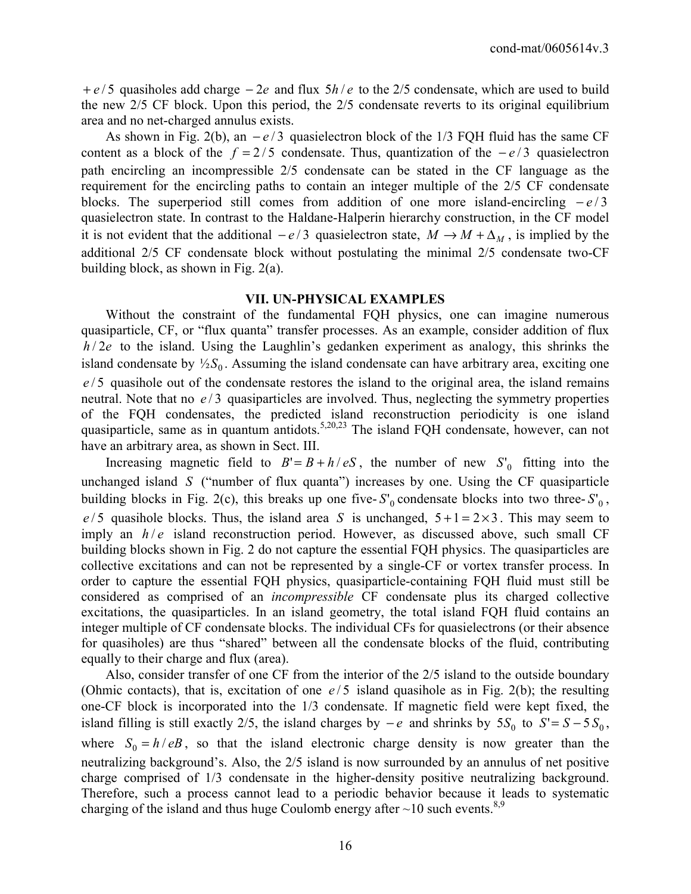+ *e* / 5 quasiholes add charge − 2*e* and flux 5*h* / *e* to the 2/5 condensate, which are used to build the new 2/5 CF block. Upon this period, the 2/5 condensate reverts to its original equilibrium area and no net-charged annulus exists.

As shown in Fig. 2(b), an  $-e/3$  quasielectron block of the 1/3 FQH fluid has the same CF content as a block of the  $f = 2/5$  condensate. Thus, quantization of the  $-e/3$  quasielectron path encircling an incompressible 2/5 condensate can be stated in the CF language as the requirement for the encircling paths to contain an integer multiple of the 2/5 CF condensate blocks. The superperiod still comes from addition of one more island-encircling  $-e/3$ quasielectron state. In contrast to the Haldane-Halperin hierarchy construction, in the CF model it is not evident that the additional  $-e/3$  quasielectron state,  $M \rightarrow M + \Delta_M$ , is implied by the additional 2/5 CF condensate block without postulating the minimal 2/5 condensate two-CF building block, as shown in Fig. 2(a).

## **VII. UN-PHYSICAL EXAMPLES**

 Without the constraint of the fundamental FQH physics, one can imagine numerous quasiparticle, CF, or "flux quanta" transfer processes. As an example, consider addition of flux  $h/2e$  to the island. Using the Laughlin's gedanken experiment as analogy, this shrinks the island condensate by  $\frac{1}{2}S_0$ . Assuming the island condensate can have arbitrary area, exciting one *e* / 5 quasihole out of the condensate restores the island to the original area, the island remains neutral. Note that no  $e/3$  quasiparticles are involved. Thus, neglecting the symmetry properties of the FQH condensates, the predicted island reconstruction periodicity is one island quasiparticle, same as in quantum antidots.<sup>5,20,23</sup> The island FQH condensate, however, can not have an arbitrary area, as shown in Sect. III.

Increasing magnetic field to  $B' = B + h/eS$ , the number of new  $S'_0$  fitting into the unchanged island *S* ("number of flux quanta") increases by one. Using the CF quasiparticle building blocks in Fig. 2(c), this breaks up one five- $S'_0$  condensate blocks into two three- $S'_0$ ,  $e/5$  quasihole blocks. Thus, the island area *S* is unchanged,  $5+1=2\times3$ . This may seem to imply an  $h/e$  island reconstruction period. However, as discussed above, such small CF building blocks shown in Fig. 2 do not capture the essential FQH physics. The quasiparticles are collective excitations and can not be represented by a single-CF or vortex transfer process. In order to capture the essential FQH physics, quasiparticle-containing FQH fluid must still be considered as comprised of an *incompressible* CF condensate plus its charged collective excitations, the quasiparticles. In an island geometry, the total island FQH fluid contains an integer multiple of CF condensate blocks. The individual CFs for quasielectrons (or their absence for quasiholes) are thus "shared" between all the condensate blocks of the fluid, contributing equally to their charge and flux (area).

 Also, consider transfer of one CF from the interior of the 2/5 island to the outside boundary (Ohmic contacts), that is, excitation of one  $e/5$  island quasihole as in Fig. 2(b); the resulting one-CF block is incorporated into the 1/3 condensate. If magnetic field were kept fixed, the island filling is still exactly 2/5, the island charges by  $-e$  and shrinks by  $5S_0$  to  $S' = S - 5S_0$ , where  $S_0 = h / eB$ , so that the island electronic charge density is now greater than the neutralizing background's. Also, the 2/5 island is now surrounded by an annulus of net positive charge comprised of 1/3 condensate in the higher-density positive neutralizing background. Therefore, such a process cannot lead to a periodic behavior because it leads to systematic charging of the island and thus huge Coulomb energy after  $\sim$ 10 such events.<sup>8,9</sup>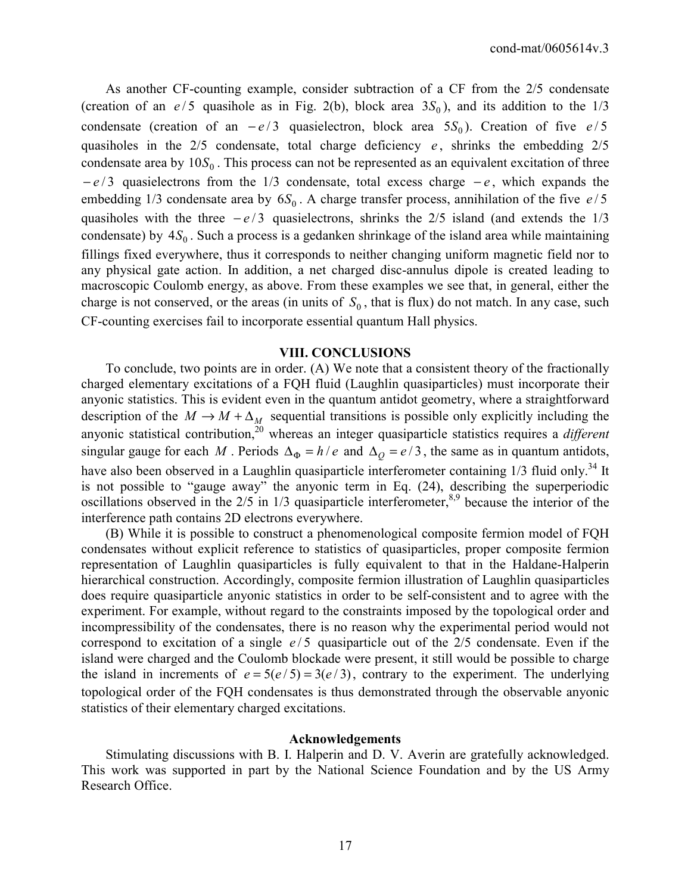As another CF-counting example, consider subtraction of a CF from the 2/5 condensate (creation of an  $e/5$  quasihole as in Fig. 2(b), block area  $3S_0$ ), and its addition to the  $1/3$ condensate (creation of an  $-e/3$  quasielectron, block area  $5S_0$ ). Creation of five  $e/5$ quasiholes in the  $2/5$  condensate, total charge deficiency  $e$ , shrinks the embedding  $2/5$ condensate area by  $10S_0$ . This process can not be represented as an equivalent excitation of three − *e* / 3 quasielectrons from the 1/3 condensate, total excess charge − *e* , which expands the embedding 1/3 condensate area by  $6S_0$ . A charge transfer process, annihilation of the five  $e/5$ quasiholes with the three  $-e/3$  quasielectrons, shrinks the 2/5 island (and extends the 1/3 condensate) by  $4S_0$ . Such a process is a gedanken shrinkage of the island area while maintaining fillings fixed everywhere, thus it corresponds to neither changing uniform magnetic field nor to any physical gate action. In addition, a net charged disc-annulus dipole is created leading to macroscopic Coulomb energy, as above. From these examples we see that, in general, either the charge is not conserved, or the areas (in units of  $S_0$ , that is flux) do not match. In any case, such CF-counting exercises fail to incorporate essential quantum Hall physics.

#### **VIII. CONCLUSIONS**

 To conclude, two points are in order. (A) We note that a consistent theory of the fractionally charged elementary excitations of a FQH fluid (Laughlin quasiparticles) must incorporate their anyonic statistics. This is evident even in the quantum antidot geometry, where a straightforward description of the  $M \to M + \Delta_M$  sequential transitions is possible only explicitly including the anyonic statistical contribution,<sup>20</sup> whereas an integer quasiparticle statistics requires a *different* singular gauge for each *M*. Periods  $\Delta_{\Phi} = h/e$  and  $\Delta_{\phi} = e/3$ , the same as in quantum antidots, have also been observed in a Laughlin quasiparticle interferometer containing 1/3 fluid only.<sup>34</sup> It is not possible to "gauge away" the anyonic term in Eq. (24), describing the superperiodic oscillations observed in the  $2/5$  in  $1/3$  quasiparticle interferometer,  $8.9$  because the interior of the interference path contains 2D electrons everywhere.

 (B) While it is possible to construct a phenomenological composite fermion model of FQH condensates without explicit reference to statistics of quasiparticles, proper composite fermion representation of Laughlin quasiparticles is fully equivalent to that in the Haldane-Halperin hierarchical construction. Accordingly, composite fermion illustration of Laughlin quasiparticles does require quasiparticle anyonic statistics in order to be self-consistent and to agree with the experiment. For example, without regard to the constraints imposed by the topological order and incompressibility of the condensates, there is no reason why the experimental period would not correspond to excitation of a single  $e/5$  quasiparticle out of the  $2/5$  condensate. Even if the island were charged and the Coulomb blockade were present, it still would be possible to charge the island in increments of  $e = 5(e/5) = 3(e/3)$ , contrary to the experiment. The underlying topological order of the FQH condensates is thus demonstrated through the observable anyonic statistics of their elementary charged excitations.

#### **Acknowledgements**

 Stimulating discussions with B. I. Halperin and D. V. Averin are gratefully acknowledged. This work was supported in part by the National Science Foundation and by the US Army Research Office.